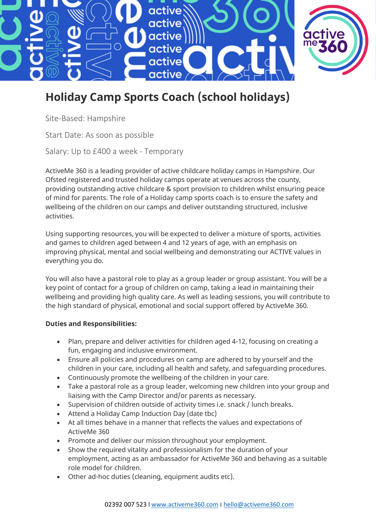

## **Holiday Camp Sports Coach (school holidays)**

Site-Based: Hampshire

Start Date: As soon as possible

Salary: Up to £400 a week - Temporary

ActiveMe 360 is a leading provider of active childcare holiday camps in Hampshire. Our Ofsted registered and trusted holiday camps operate at venues across the county, providing outstanding active childcare & sport provision to children whilst ensuring peace of mind for parents. The role of a Holiday camp sports coach is to ensure the safety and wellbeing of the children on our camps and deliver outstanding structured, inclusive activities.

Using supporting resources, you will be expected to deliver a mixture of sports, activities and games to children aged between 4 and 12 years of age, with an emphasis on improving physical, mental and social wellbeing and demonstrating our ACTIVE values in everything you do.

You will also have a pastoral role to play as a group leader or group assistant. You will be a key point of contact for a group of children on camp, taking a lead in maintaining their wellbeing and providing high quality care. As well as leading sessions, you will contribute to the high standard of physical, emotional and social support offered by ActiveMe 360.

## **Duties and Responsibilities:**

- Plan, prepare and deliver activities for children aged 4-12, focusing on creating a fun, engaging and inclusive environment.
- Ensure all policies and procedures on camp are adhered to by yourself and the children in your care, including all health and safety, and safeguarding procedures.
- Continuously promote the wellbeing of the children in your care.
- Take a pastoral role as a group leader, welcoming new children into your group and liaising with the Camp Director and/or parents as necessary.
- Supervision of children outside of activity times i.e. snack / lunch breaks.
- Attend a Holiday Camp Induction Day (date tbc)
- At all times behave in a manner that reflects the values and expectations of ActiveMe 360
- Promote and deliver our mission throughout your employment.
- Show the required vitality and professionalism for the duration of your employment, acting as an ambassador for ActiveMe 360 and behaving as a suitable role model for children.
- Other ad-hoc duties (cleaning, equipment audits etc).